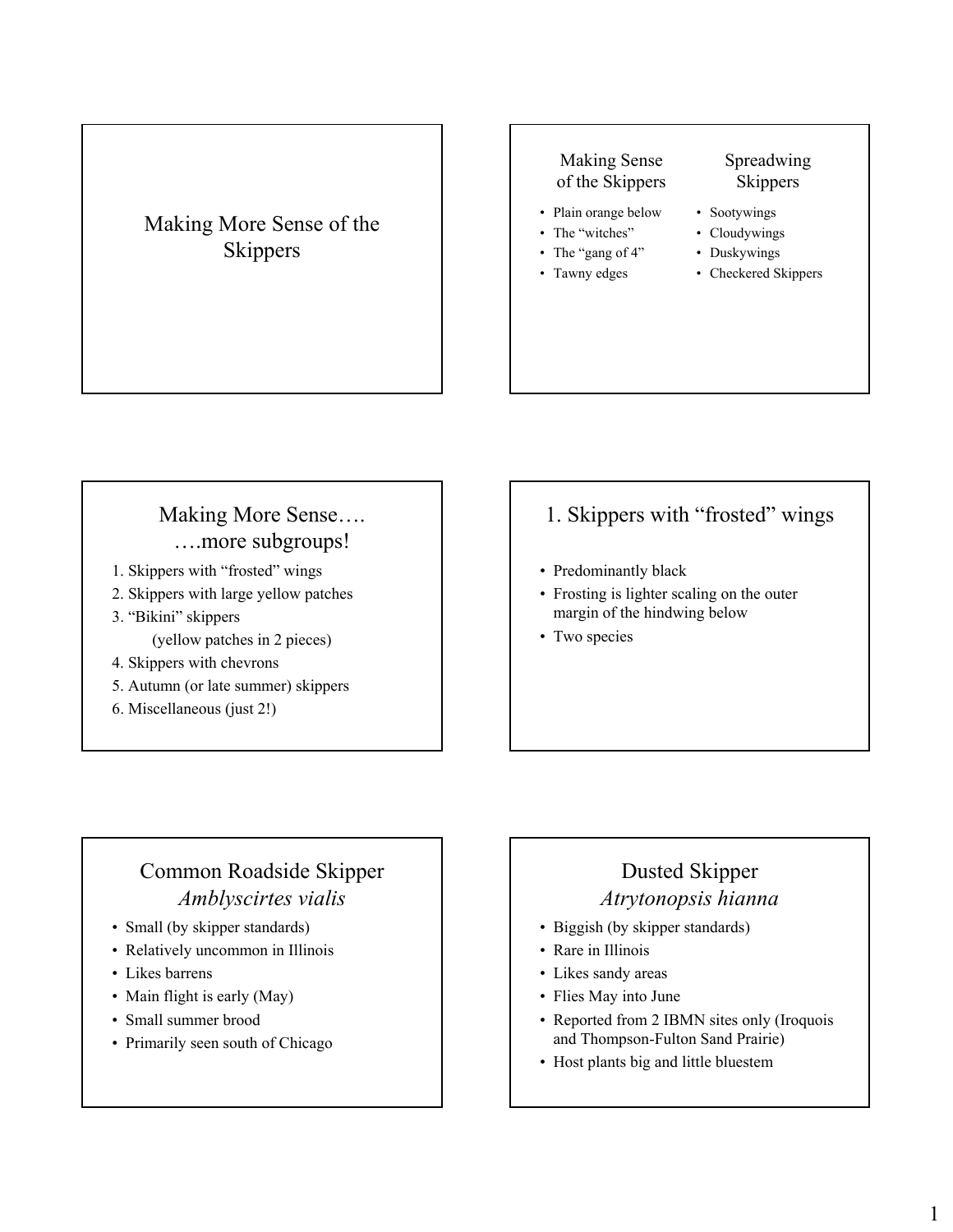Making More Sense of the Skippers

#### Making Sense of the Skippers

- Plain orange below
- The "witches"

• Tawny edges

- The "gang of 4" • Cloudywings
	- Duskywings

• Sootywings

• Checkered Skippers

Spreadwing **Skippers** 

#### Making More Sense…. ….more subgroups!

- 1. Skippers with "frosted" wings
- 2. Skippers with large yellow patches
- 3. "Bikini" skippers (yellow patches in 2 pieces)
- 4. Skippers with chevrons
- 5. Autumn (or late summer) skippers
- 6. Miscellaneous (just 2!)

#### 1. Skippers with "frosted" wings

- Predominantly black
- Frosting is lighter scaling on the outer margin of the hindwing below
- Two species

# Common Roadside Skipper *Amblyscirtes vialis*

- Small (by skipper standards)
- Relatively uncommon in Illinois
- Likes barrens
- Main flight is early (May)
- Small summer brood
- Primarily seen south of Chicago

#### Dusted Skipper *Atrytonopsis hianna*

- Biggish (by skipper standards)
- Rare in Illinois
- Likes sandy areas
- Flies May into June
- Reported from 2 IBMN sites only (Iroquois and Thompson-Fulton Sand Prairie)
- Host plants big and little bluestem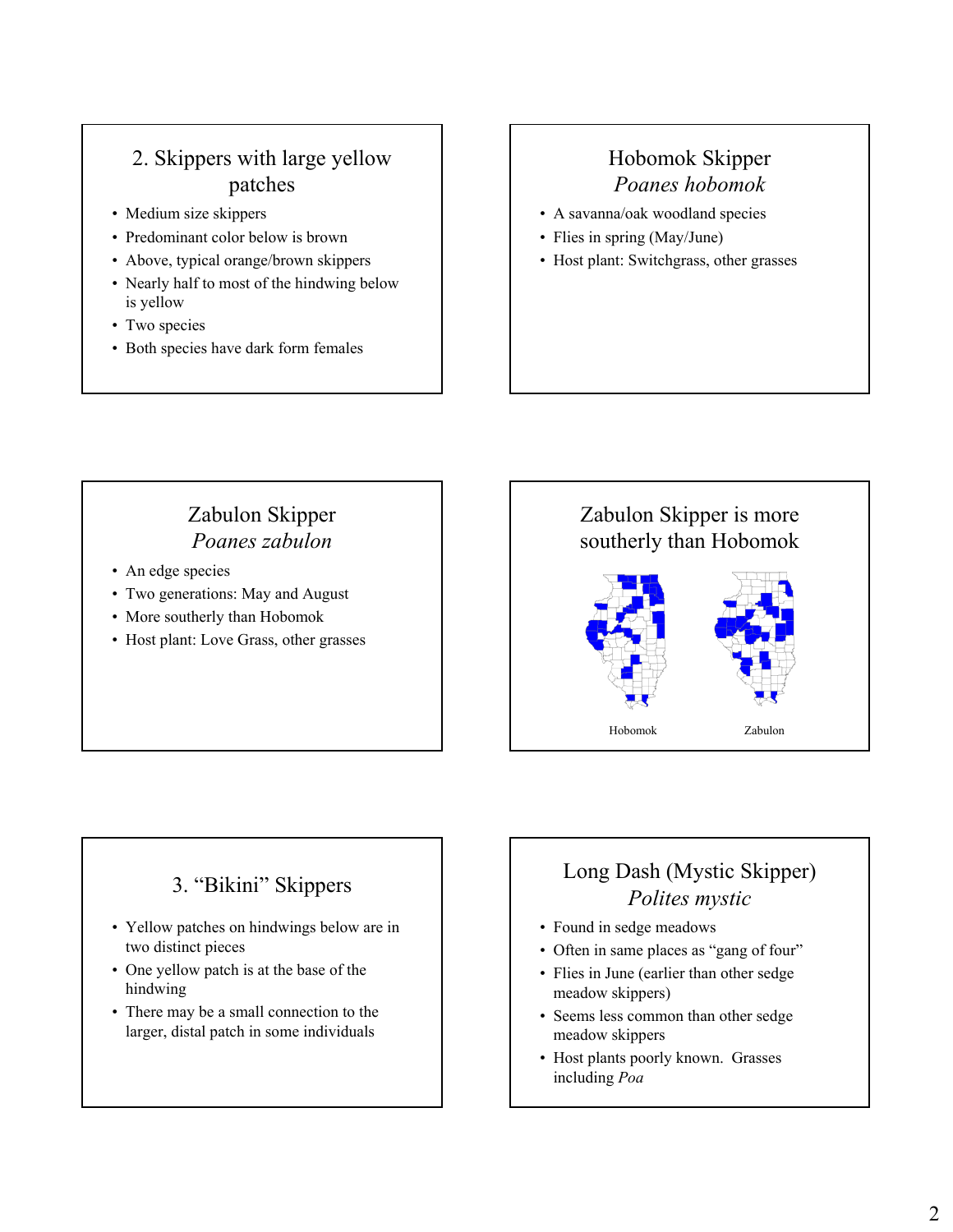### 2. Skippers with large yellow patches

- Medium size skippers
- Predominant color below is brown
- Above, typical orange/brown skippers
- Nearly half to most of the hindwing below is yellow
- Two species
- Both species have dark form females

# Hobomok Skipper *Poanes hobomok*

- A savanna/oak woodland species
- Flies in spring (May/June)
- Host plant: Switchgrass, other grasses

# Zabulon Skipper *Poanes zabulon*

- An edge species
- Two generations: May and August
- More southerly than Hobomok
- Host plant: Love Grass, other grasses

# Zabulon Skipper is more southerly than Hobomok

Hobomok Zabulon

#### 3. "Bikini" Skippers

- Yellow patches on hindwings below are in two distinct pieces
- One yellow patch is at the base of the hindwing
- There may be a small connection to the larger, distal patch in some individuals

# Long Dash (Mystic Skipper) *Polites mystic*

- Found in sedge meadows
- Often in same places as "gang of four"
- Flies in June (earlier than other sedge meadow skippers)
- Seems less common than other sedge meadow skippers
- Host plants poorly known. Grasses including *Poa*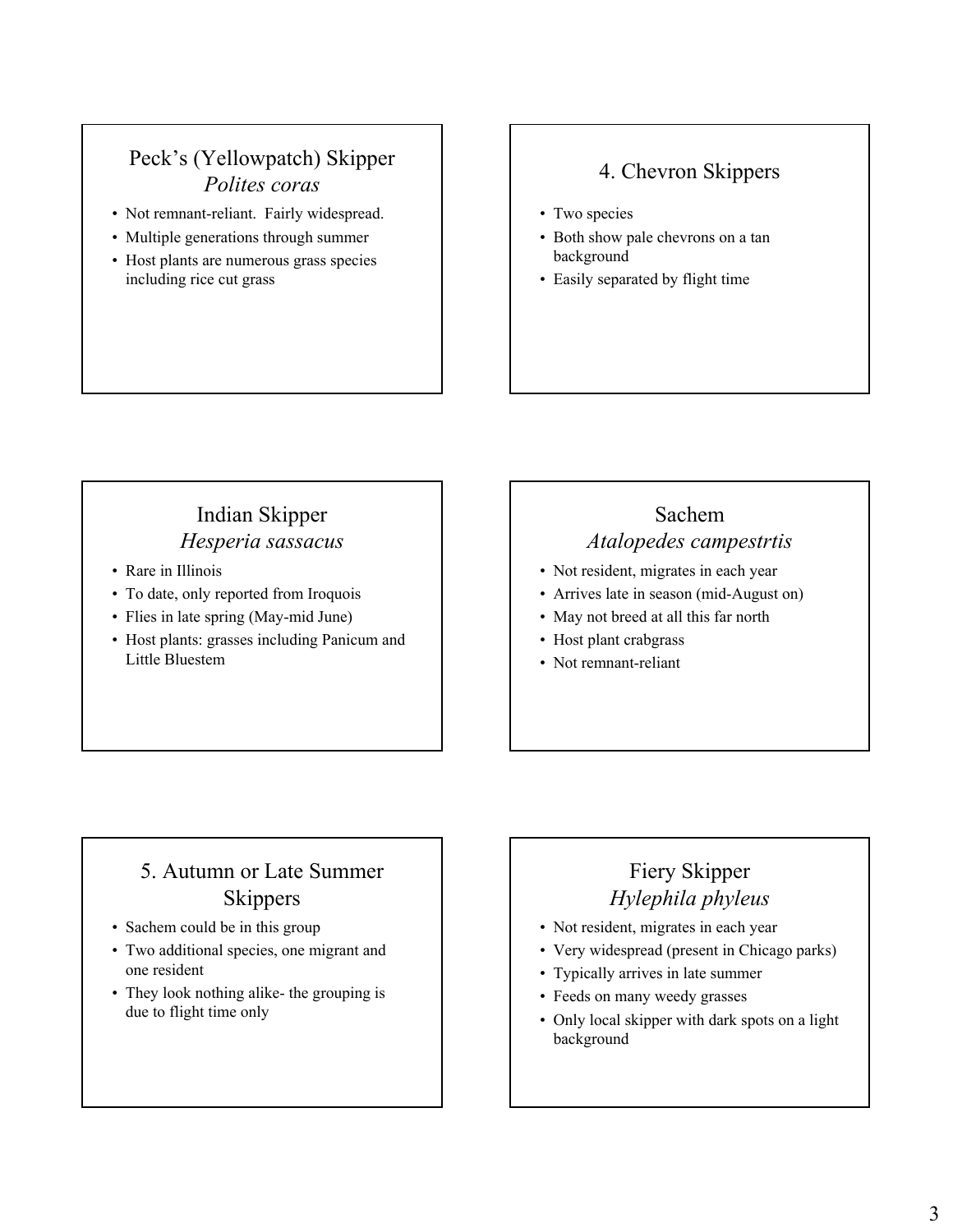#### Peck's (Yellowpatch) Skipper *Polites coras*

- Not remnant-reliant. Fairly widespread.
- Multiple generations through summer
- Host plants are numerous grass species including rice cut grass

#### 4. Chevron Skippers

- Two species
- Both show pale chevrons on a tan background
- Easily separated by flight time

# Indian Skipper *Hesperia sassacus*

- Rare in Illinois
- To date, only reported from Iroquois
- Flies in late spring (May-mid June)
- Host plants: grasses including Panicum and Little Bluestem

# Sachem *Atalopedes campestrtis*

- Not resident, migrates in each year
- Arrives late in season (mid-August on)
- May not breed at all this far north
- Host plant crabgrass
- Not remnant-reliant

### 5. Autumn or Late Summer **Skippers**

- Sachem could be in this group
- Two additional species, one migrant and one resident
- They look nothing alike- the grouping is due to flight time only

### Fiery Skipper *Hylephila phyleus*

- Not resident, migrates in each year
- Very widespread (present in Chicago parks)
- Typically arrives in late summer
- Feeds on many weedy grasses
- Only local skipper with dark spots on a light background